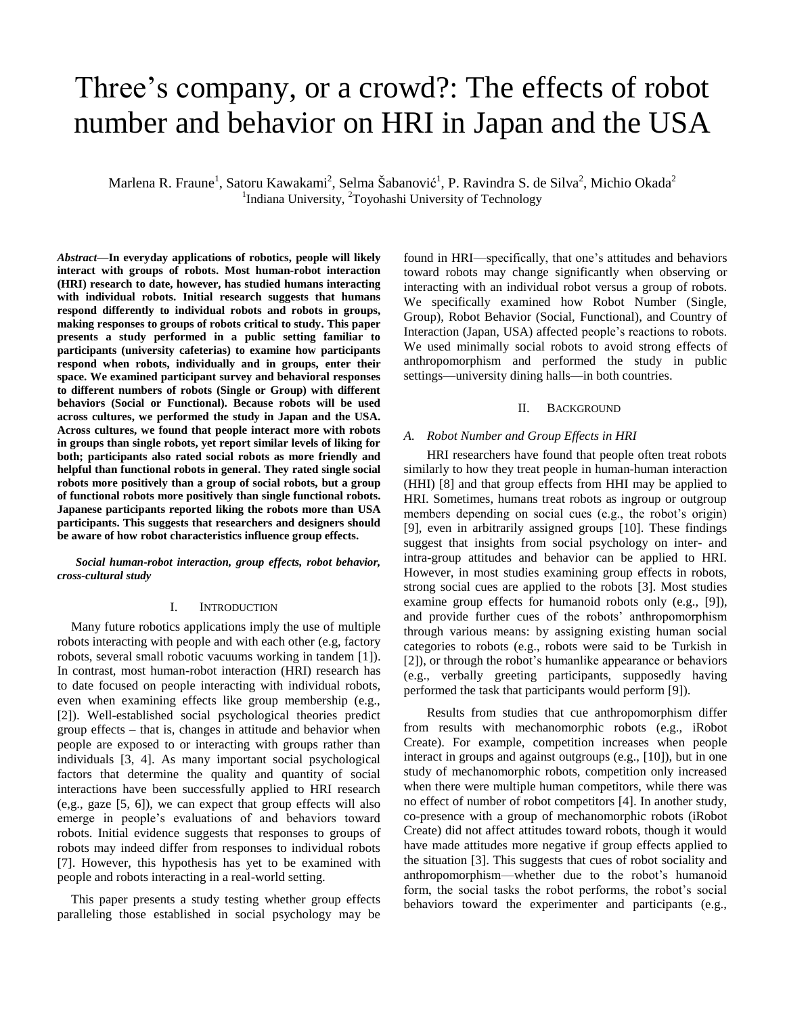# Three's company, or a crowd?: The effects of robot number and behavior on HRI in Japan and the USA

Marlena R. Fraune<sup>1</sup>, Satoru Kawakami<sup>2</sup>, Selma Šabanović<sup>1</sup>, P. Ravindra S. de Silva<sup>2</sup>, Michio Okada<sup>2</sup> <sup>1</sup>Indiana University, <sup>2</sup>Toyohashi University of Technology

*Abstract***—In everyday applications of robotics, people will likely interact with groups of robots. Most human-robot interaction (HRI) research to date, however, has studied humans interacting with individual robots. Initial research suggests that humans respond differently to individual robots and robots in groups, making responses to groups of robots critical to study. This paper presents a study performed in a public setting familiar to participants (university cafeterias) to examine how participants respond when robots, individually and in groups, enter their space. We examined participant survey and behavioral responses to different numbers of robots (Single or Group) with different behaviors (Social or Functional). Because robots will be used across cultures, we performed the study in Japan and the USA. Across cultures, we found that people interact more with robots in groups than single robots, yet report similar levels of liking for both; participants also rated social robots as more friendly and helpful than functional robots in general. They rated single social robots more positively than a group of social robots, but a group of functional robots more positively than single functional robots. Japanese participants reported liking the robots more than USA participants. This suggests that researchers and designers should be aware of how robot characteristics influence group effects.**

*Social human-robot interaction, group effects, robot behavior, cross-cultural study*

#### I. INTRODUCTION

Many future robotics applications imply the use of multiple robots interacting with people and with each other (e.g, factory robots, several small robotic vacuums working in tandem [1]). In contrast, most human-robot interaction (HRI) research has to date focused on people interacting with individual robots, even when examining effects like group membership (e.g., [2]). Well-established social psychological theories predict group effects – that is, changes in attitude and behavior when people are exposed to or interacting with groups rather than individuals [3, 4]. As many important social psychological factors that determine the quality and quantity of social interactions have been successfully applied to HRI research (e,g., gaze [5, 6]), we can expect that group effects will also emerge in people's evaluations of and behaviors toward robots. Initial evidence suggests that responses to groups of robots may indeed differ from responses to individual robots [7]. However, this hypothesis has yet to be examined with people and robots interacting in a real-world setting.

This paper presents a study testing whether group effects paralleling those established in social psychology may be found in HRI—specifically, that one's attitudes and behaviors toward robots may change significantly when observing or interacting with an individual robot versus a group of robots. We specifically examined how Robot Number (Single, Group), Robot Behavior (Social, Functional), and Country of Interaction (Japan, USA) affected people's reactions to robots. We used minimally social robots to avoid strong effects of anthropomorphism and performed the study in public settings—university dining halls—in both countries.

#### II. BACKGROUND

#### *A. Robot Number and Group Effects in HRI*

HRI researchers have found that people often treat robots similarly to how they treat people in human-human interaction (HHI) [8] and that group effects from HHI may be applied to HRI. Sometimes, humans treat robots as ingroup or outgroup members depending on social cues (e.g., the robot's origin) [9], even in arbitrarily assigned groups [10]. These findings suggest that insights from social psychology on inter- and intra-group attitudes and behavior can be applied to HRI. However, in most studies examining group effects in robots, strong social cues are applied to the robots [3]. Most studies examine group effects for humanoid robots only (e.g., [9]), and provide further cues of the robots' anthropomorphism through various means: by assigning existing human social categories to robots (e.g., robots were said to be Turkish in [2]), or through the robot's humanlike appearance or behaviors (e.g., verbally greeting participants, supposedly having performed the task that participants would perform [9]).

Results from studies that cue anthropomorphism differ from results with mechanomorphic robots (e.g., iRobot Create). For example, competition increases when people interact in groups and against outgroups (e.g., [10]), but in one study of mechanomorphic robots, competition only increased when there were multiple human competitors, while there was no effect of number of robot competitors [4]. In another study, co-presence with a group of mechanomorphic robots (iRobot Create) did not affect attitudes toward robots, though it would have made attitudes more negative if group effects applied to the situation [3]. This suggests that cues of robot sociality and anthropomorphism—whether due to the robot's humanoid form, the social tasks the robot performs, the robot's social behaviors toward the experimenter and participants (e.g.,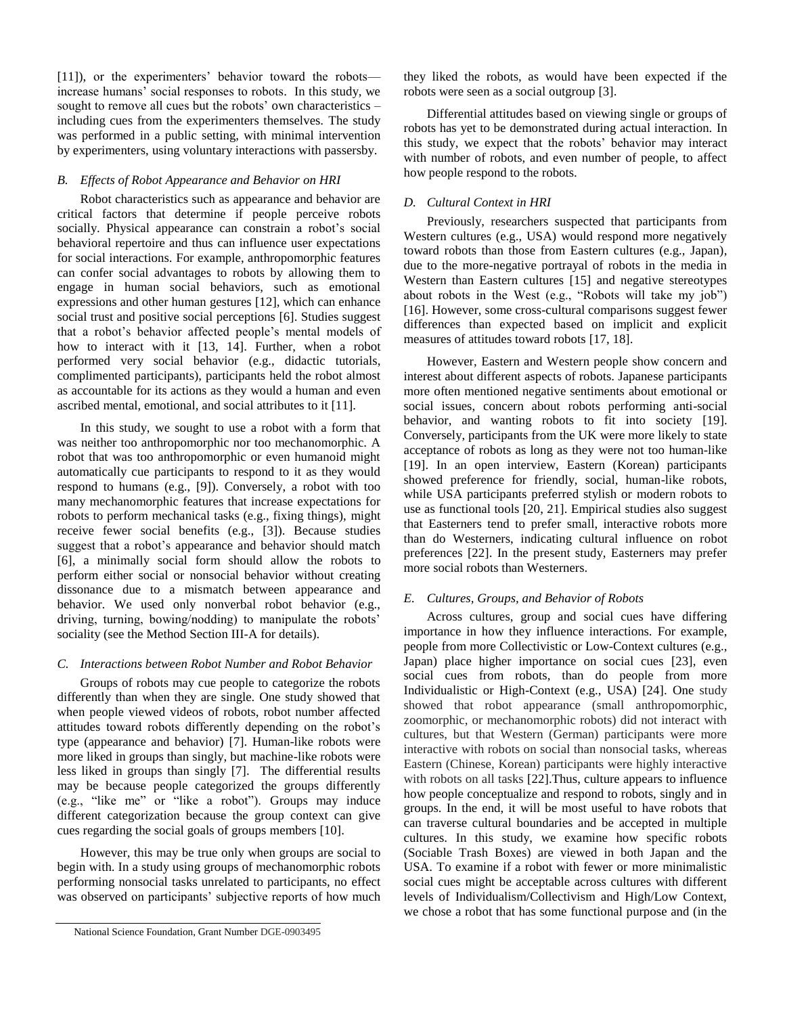[11]), or the experimenters' behavior toward the robots increase humans' social responses to robots. In this study, we sought to remove all cues but the robots' own characteristics – including cues from the experimenters themselves. The study was performed in a public setting, with minimal intervention by experimenters, using voluntary interactions with passersby.

# *B. Effects of Robot Appearance and Behavior on HRI*

Robot characteristics such as appearance and behavior are critical factors that determine if people perceive robots socially. Physical appearance can constrain a robot's social behavioral repertoire and thus can influence user expectations for social interactions. For example, anthropomorphic features can confer social advantages to robots by allowing them to engage in human social behaviors, such as emotional expressions and other human gestures [12], which can enhance social trust and positive social perceptions [6]. Studies suggest that a robot's behavior affected people's mental models of how to interact with it [13, 14]. Further, when a robot performed very social behavior (e.g., didactic tutorials, complimented participants), participants held the robot almost as accountable for its actions as they would a human and even ascribed mental, emotional, and social attributes to it [11].

In this study, we sought to use a robot with a form that was neither too anthropomorphic nor too mechanomorphic. A robot that was too anthropomorphic or even humanoid might automatically cue participants to respond to it as they would respond to humans (e.g., [9]). Conversely, a robot with too many mechanomorphic features that increase expectations for robots to perform mechanical tasks (e.g., fixing things), might receive fewer social benefits (e.g., [3]). Because studies suggest that a robot's appearance and behavior should match [6], a minimally social form should allow the robots to perform either social or nonsocial behavior without creating dissonance due to a mismatch between appearance and behavior. We used only nonverbal robot behavior (e.g., driving, turning, bowing/nodding) to manipulate the robots' sociality (see the Method Section III-A for details).

## *C. Interactions between Robot Number and Robot Behavior*

Groups of robots may cue people to categorize the robots differently than when they are single. One study showed that when people viewed videos of robots, robot number affected attitudes toward robots differently depending on the robot's type (appearance and behavior) [7]. Human-like robots were more liked in groups than singly, but machine-like robots were less liked in groups than singly [7]. The differential results may be because people categorized the groups differently (e.g., "like me" or "like a robot"). Groups may induce different categorization because the group context can give cues regarding the social goals of groups members [10].

However, this may be true only when groups are social to begin with. In a study using groups of mechanomorphic robots performing nonsocial tasks unrelated to participants, no effect was observed on participants' subjective reports of how much they liked the robots, as would have been expected if the robots were seen as a social outgroup [3].

Differential attitudes based on viewing single or groups of robots has yet to be demonstrated during actual interaction. In this study, we expect that the robots' behavior may interact with number of robots, and even number of people, to affect how people respond to the robots.

#### *D. Cultural Context in HRI*

Previously, researchers suspected that participants from Western cultures (e.g., USA) would respond more negatively toward robots than those from Eastern cultures (e.g., Japan), due to the more-negative portrayal of robots in the media in Western than Eastern cultures [15] and negative stereotypes about robots in the West (e.g., "Robots will take my job") [16]. However, some cross-cultural comparisons suggest fewer differences than expected based on implicit and explicit measures of attitudes toward robots [17, 18].

However, Eastern and Western people show concern and interest about different aspects of robots. Japanese participants more often mentioned negative sentiments about emotional or social issues, concern about robots performing anti-social behavior, and wanting robots to fit into society [19]. Conversely, participants from the UK were more likely to state acceptance of robots as long as they were not too human-like [19]. In an open interview, Eastern (Korean) participants showed preference for friendly, social, human-like robots, while USA participants preferred stylish or modern robots to use as functional tools [20, 21]. Empirical studies also suggest that Easterners tend to prefer small, interactive robots more than do Westerners, indicating cultural influence on robot preferences [22]. In the present study, Easterners may prefer more social robots than Westerners.

# *E. Cultures, Groups, and Behavior of Robots*

Across cultures, group and social cues have differing importance in how they influence interactions. For example, people from more Collectivistic or Low-Context cultures (e.g., Japan) place higher importance on social cues [23], even social cues from robots, than do people from more Individualistic or High-Context (e.g., USA) [24]. One study showed that robot appearance (small anthropomorphic, zoomorphic, or mechanomorphic robots) did not interact with cultures, but that Western (German) participants were more interactive with robots on social than nonsocial tasks, whereas Eastern (Chinese, Korean) participants were highly interactive with robots on all tasks [22].Thus, culture appears to influence how people conceptualize and respond to robots, singly and in groups. In the end, it will be most useful to have robots that can traverse cultural boundaries and be accepted in multiple cultures. In this study, we examine how specific robots (Sociable Trash Boxes) are viewed in both Japan and the USA. To examine if a robot with fewer or more minimalistic social cues might be acceptable across cultures with different levels of Individualism/Collectivism and High/Low Context, we chose a robot that has some functional purpose and (in the

National Science Foundation, Grant Number DGE-0903495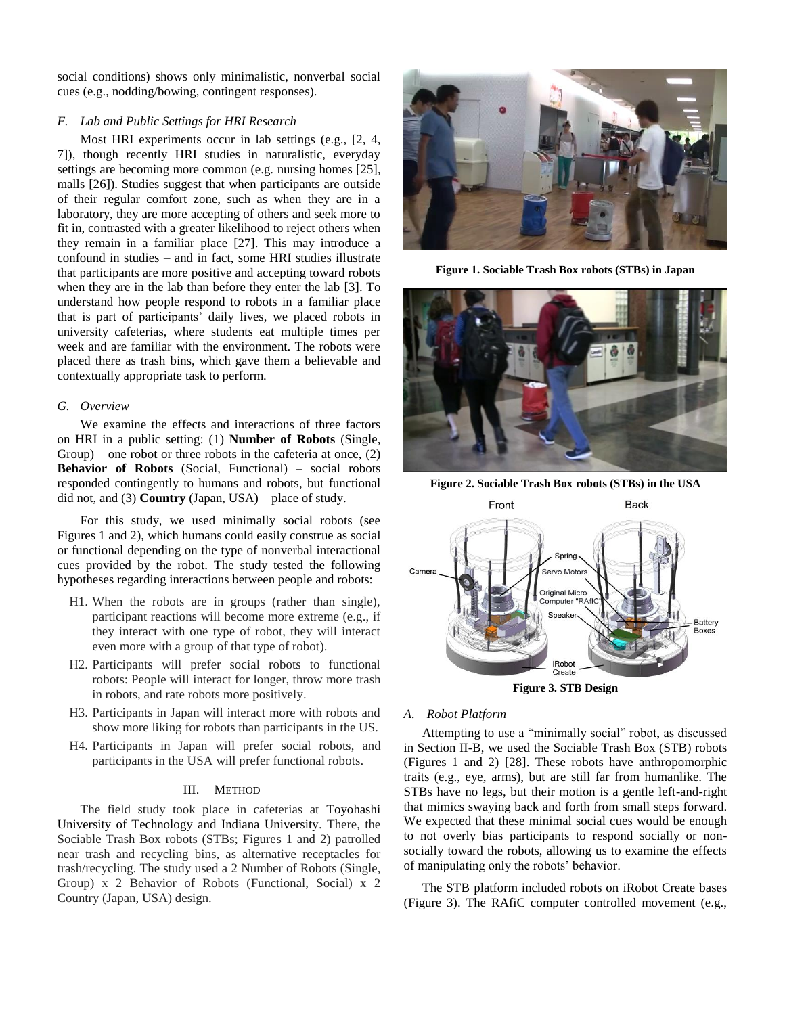social conditions) shows only minimalistic, nonverbal social cues (e.g., nodding/bowing, contingent responses).

## *F. Lab and Public Settings for HRI Research*

Most HRI experiments occur in lab settings (e.g., [2, 4, 7]), though recently HRI studies in naturalistic, everyday settings are becoming more common (e.g. nursing homes [25], malls [26]). Studies suggest that when participants are outside of their regular comfort zone, such as when they are in a laboratory, they are more accepting of others and seek more to fit in, contrasted with a greater likelihood to reject others when they remain in a familiar place [27]. This may introduce a confound in studies – and in fact, some HRI studies illustrate that participants are more positive and accepting toward robots when they are in the lab than before they enter the lab [3]. To understand how people respond to robots in a familiar place that is part of participants' daily lives, we placed robots in university cafeterias, where students eat multiple times per week and are familiar with the environment. The robots were placed there as trash bins, which gave them a believable and contextually appropriate task to perform.

#### *G. Overview*

We examine the effects and interactions of three factors on HRI in a public setting: (1) **Number of Robots** (Single, Group) – one robot or three robots in the cafeteria at once,  $(2)$ **Behavior of Robots** (Social, Functional) – social robots responded contingently to humans and robots, but functional did not, and (3) **Country** (Japan, USA) – place of study.

For this study, we used minimally social robots (see Figures 1 and 2), which humans could easily construe as social or functional depending on the type of nonverbal interactional cues provided by the robot. The study tested the following hypotheses regarding interactions between people and robots:

- H1. When the robots are in groups (rather than single), participant reactions will become more extreme (e.g., if they interact with one type of robot, they will interact even more with a group of that type of robot).
- H2. Participants will prefer social robots to functional robots: People will interact for longer, throw more trash in robots, and rate robots more positively.
- H3. Participants in Japan will interact more with robots and show more liking for robots than participants in the US.
- H4. Participants in Japan will prefer social robots, and participants in the USA will prefer functional robots.

## III. METHOD

The field study took place in cafeterias at Toyohashi University of Technology and Indiana University. There, the Sociable Trash Box robots (STBs; Figures 1 and 2) patrolled near trash and recycling bins, as alternative receptacles for trash/recycling. The study used a 2 Number of Robots (Single, Group) x 2 Behavior of Robots (Functional, Social) x 2 Country (Japan, USA) design.



**Figure 1. Sociable Trash Box robots (STBs) in Japan**



**Figure 2. Sociable Trash Box robots (STBs) in the USA**



**Figure 3. STB Design** 

#### *A. Robot Platform*

Attempting to use a "minimally social" robot, as discussed in Section II-B, we used the Sociable Trash Box (STB) robots (Figures 1 and 2) [28]. These robots have anthropomorphic traits (e.g., eye, arms), but are still far from humanlike. The STBs have no legs, but their motion is a gentle left-and-right that mimics swaying back and forth from small steps forward. We expected that these minimal social cues would be enough to not overly bias participants to respond socially or nonsocially toward the robots, allowing us to examine the effects of manipulating only the robots' behavior.

The STB platform included robots on iRobot Create bases (Figure 3). The RAfiC computer controlled movement (e.g.,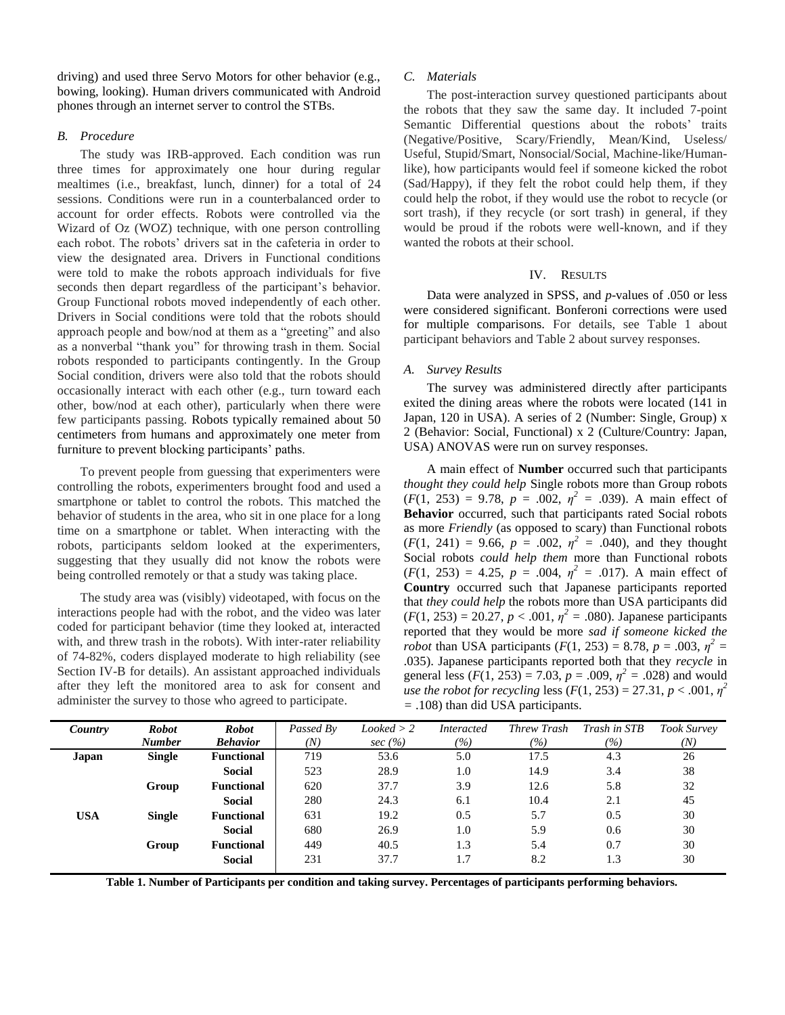driving) and used three Servo Motors for other behavior (e.g., bowing, looking). Human drivers communicated with Android phones through an internet server to control the STBs.

## *B. Procedure*

The study was IRB-approved. Each condition was run three times for approximately one hour during regular mealtimes (i.e., breakfast, lunch, dinner) for a total of 24 sessions. Conditions were run in a counterbalanced order to account for order effects. Robots were controlled via the Wizard of Oz (WOZ) technique, with one person controlling each robot. The robots' drivers sat in the cafeteria in order to view the designated area. Drivers in Functional conditions were told to make the robots approach individuals for five seconds then depart regardless of the participant's behavior. Group Functional robots moved independently of each other. Drivers in Social conditions were told that the robots should approach people and bow/nod at them as a "greeting" and also as a nonverbal "thank you" for throwing trash in them. Social robots responded to participants contingently. In the Group Social condition, drivers were also told that the robots should occasionally interact with each other (e.g., turn toward each other, bow/nod at each other), particularly when there were few participants passing. Robots typically remained about 50 centimeters from humans and approximately one meter from furniture to prevent blocking participants' paths.

To prevent people from guessing that experimenters were controlling the robots, experimenters brought food and used a smartphone or tablet to control the robots. This matched the behavior of students in the area, who sit in one place for a long time on a smartphone or tablet. When interacting with the robots, participants seldom looked at the experimenters, suggesting that they usually did not know the robots were being controlled remotely or that a study was taking place.

The study area was (visibly) videotaped, with focus on the interactions people had with the robot, and the video was later coded for participant behavior (time they looked at, interacted with, and threw trash in the robots). With inter-rater reliability of 74-82%, coders displayed moderate to high reliability (see Section IV-B for details). An assistant approached individuals after they left the monitored area to ask for consent and administer the survey to those who agreed to participate.

## *C. Materials*

The post-interaction survey questioned participants about the robots that they saw the same day. It included 7-point Semantic Differential questions about the robots' traits (Negative/Positive, Scary/Friendly, Mean/Kind, Useless/ Useful, Stupid/Smart, Nonsocial/Social, Machine-like/Humanlike), how participants would feel if someone kicked the robot (Sad/Happy), if they felt the robot could help them, if they could help the robot, if they would use the robot to recycle (or sort trash), if they recycle (or sort trash) in general, if they would be proud if the robots were well-known, and if they wanted the robots at their school.

# IV. RESULTS

Data were analyzed in SPSS, and *p*-values of .050 or less were considered significant. Bonferoni corrections were used for multiple comparisons. For details, see Table 1 about participant behaviors and Table 2 about survey responses.

# *A. Survey Results*

The survey was administered directly after participants exited the dining areas where the robots were located (141 in Japan, 120 in USA). A series of 2 (Number: Single, Group) x 2 (Behavior: Social, Functional) x 2 (Culture/Country: Japan, USA) ANOVAS were run on survey responses.

A main effect of **Number** occurred such that participants *thought they could help* Single robots more than Group robots  $(F(1, 253) = 9.78, p = .002, \eta^2 = .039)$ . A main effect of **Behavior** occurred, such that participants rated Social robots as more *Friendly* (as opposed to scary) than Functional robots  $(F(1, 241) = 9.66, p = .002, \eta^2 = .040)$ , and they thought Social robots *could help them* more than Functional robots  $(F(1, 253) = 4.25, p = .004, \eta^2 = .017)$ . A main effect of **Country** occurred such that Japanese participants reported that *they could help* the robots more than USA participants did  $(F(1, 253) = 20.27, p < .001, \eta^2 = .080)$ . Japanese participants reported that they would be more *sad if someone kicked the robot* than USA participants  $(F(1, 253) = 8.78, p = .003, \eta^2 = 1.003$ .035). Japanese participants reported both that they *recycle* in general less  $(F(1, 253) = 7.03, p = .009, \eta^2 = .028)$  and would *use the robot for recycling* less  $(F(1, 253) = 27.31, p < .001, \eta^2)$ *=* .108) than did USA participants.

| Country    | <b>Robot</b><br><b>Number</b> | <b>Robot</b><br><b>Behavior</b> | Passed By<br>(N) | Looked > 2<br>sec $(\% )$ | <i>Interacted</i><br>(%) | <b>Threw Trash</b><br>(%) | Trash in STB<br>(%) | <b>Took Survey</b><br>(N) |
|------------|-------------------------------|---------------------------------|------------------|---------------------------|--------------------------|---------------------------|---------------------|---------------------------|
| Japan      | <b>Single</b>                 | <b>Functional</b>               | 719              | 53.6                      | 5.0                      | 17.5                      | 4.3                 | 26                        |
|            |                               | <b>Social</b>                   | 523              | 28.9                      | 1.0                      | 14.9                      | 3.4                 | 38                        |
|            | Group                         | <b>Functional</b>               | 620              | 37.7                      | 3.9                      | 12.6                      | 5.8                 | 32                        |
|            |                               | <b>Social</b>                   | 280              | 24.3                      | 6.1                      | 10.4                      | 2.1                 | 45                        |
| <b>USA</b> | <b>Single</b>                 | <b>Functional</b>               | 631              | 19.2                      | 0.5                      | 5.7                       | 0.5                 | 30                        |
|            |                               | <b>Social</b>                   | 680              | 26.9                      | 1.0                      | 5.9                       | 0.6                 | 30                        |
|            | Group                         | <b>Functional</b>               | 449              | 40.5                      | 1.3                      | 5.4                       | 0.7                 | 30                        |
|            |                               | <b>Social</b>                   | 231              | 37.7                      | 1.7                      | 8.2                       | 1.3                 | 30                        |

**Table 1. Number of Participants per condition and taking survey. Percentages of participants performing behaviors.**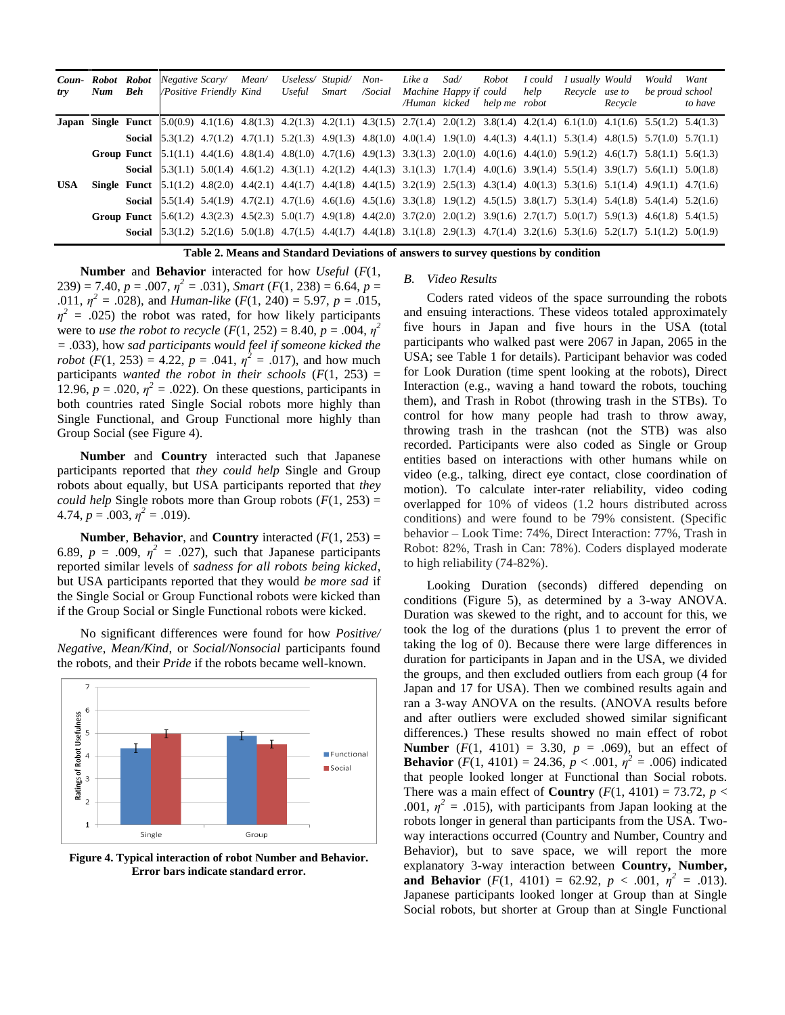| Coun-<br>try                                                                       | Num Beh | Robot Robot | Negative Scary/ Mean/<br>/Positive Friendly Kind |  |  | Useless/ Stupid/<br>Useful                                                                                                                                                                            | Smart | $Non-$<br>/Social | Like a<br>Machine Happy if could | Sad/ | Robot<br>/Human kicked help me robot | I could<br>help | I usually Would<br>Recycle use to | Recycle | Would<br>be proud school | Want<br>to have |
|------------------------------------------------------------------------------------|---------|-------------|--------------------------------------------------|--|--|-------------------------------------------------------------------------------------------------------------------------------------------------------------------------------------------------------|-------|-------------------|----------------------------------|------|--------------------------------------|-----------------|-----------------------------------|---------|--------------------------|-----------------|
|                                                                                    |         |             |                                                  |  |  | <b>Japan Single Funct</b> [5.0(0.9) 4.1(1.6) 4.8(1.3) 4.2(1.3) 4.2(1.1) 4.3(1.5) 2.7(1.4) 2.0(1.2) 3.8(1.4) 4.2(1.4) 6.1(1.0) 4.1(1.6) 5.5(1.2) 5.4(1.3)                                              |       |                   |                                  |      |                                      |                 |                                   |         |                          |                 |
|                                                                                    |         |             |                                                  |  |  | <b>Social</b> $\begin{bmatrix} 5.3(1.2) & 4.7(1.2) & 4.7(1.1) & 5.2(1.3) & 4.9(1.3) & 4.8(1.0) & 4.0(1.4) & 1.9(1.0) & 4.4(1.3) & 4.4(1.1) & 5.3(1.4) & 4.8(1.5) & 5.7(1.0) & 5.7(1.1) \end{bmatrix}$ |       |                   |                                  |      |                                      |                 |                                   |         |                          |                 |
|                                                                                    |         |             |                                                  |  |  | Group Funct $[5.1(1.1)$ 4.4(1.6) 4.8(1.4) 4.8(1.0) 4.7(1.6) 4.9(1.3) 3.3(1.3) 2.0(1.0) 4.0(1.6) 4.4(1.0) 5.9(1.2) 4.6(1.7) 5.8(1.1) 5.6(1.3)                                                          |       |                   |                                  |      |                                      |                 |                                   |         |                          |                 |
|                                                                                    |         |             |                                                  |  |  | <b>Social</b> $\begin{bmatrix} 5.3(1.1) & 5.0(1.4) & 4.6(1.2) & 4.3(1.1) & 4.2(1.2) & 4.4(1.3) & 3.1(1.3) & 1.7(1.4) & 4.0(1.6) & 3.9(1.4) & 5.5(1.4) & 3.9(1.7) & 5.6(1.1) & 5.0(1.8) \end{bmatrix}$ |       |                   |                                  |      |                                      |                 |                                   |         |                          |                 |
| <b>USA</b>                                                                         |         |             |                                                  |  |  | <b>Single Funct</b> [5.1(1.2) 4.8(2.0) 4.4(2.1) 4.4(1.7) 4.4(1.8) 4.4(1.5) 3.2(1.9) 2.5(1.3) 4.3(1.4) 4.0(1.3) 5.3(1.6) 5.1(1.4) 4.9(1.1) 4.7(1.6)                                                    |       |                   |                                  |      |                                      |                 |                                   |         |                          |                 |
|                                                                                    |         |             |                                                  |  |  | <b>Social</b> $\begin{bmatrix} 5.5(1.4) & 5.4(1.9) & 4.7(2.1) & 4.7(1.6) & 4.6(1.6) & 4.5(1.6) & 3.3(1.8) & 1.9(1.2) & 4.5(1.5) & 3.8(1.7) & 5.3(1.4) & 5.4(1.8) & 5.4(1.4) & 5.2(1.6) \end{bmatrix}$ |       |                   |                                  |      |                                      |                 |                                   |         |                          |                 |
|                                                                                    |         |             |                                                  |  |  | Group Funct [5.6(1.2) 4.3(2.3) 4.5(2.3) 5.0(1.7) 4.9(1.8) 4.4(2.0) 3.7(2.0) 2.0(1.2) 3.9(1.6) 2.7(1.7) 5.0(1.7) 5.9(1.3) 4.6(1.8) 5.4(1.5)                                                            |       |                   |                                  |      |                                      |                 |                                   |         |                          |                 |
|                                                                                    |         |             |                                                  |  |  | <b>Social</b> $\begin{bmatrix} 5.3(1.2) & 5.2(1.6) & 5.0(1.8) & 4.7(1.5) & 4.4(1.7) & 4.4(1.8) & 3.1(1.8) & 2.9(1.3) & 4.7(1.4) & 3.2(1.6) & 5.3(1.6) & 5.2(1.7) & 5.1(1.2) & 5.0(1.9) \end{bmatrix}$ |       |                   |                                  |      |                                      |                 |                                   |         |                          |                 |
| Table 2. Means and Standard Deviations of answers to survey questions by condition |         |             |                                                  |  |  |                                                                                                                                                                                                       |       |                   |                                  |      |                                      |                 |                                   |         |                          |                 |

**Number** and **Behavior** interacted for how *Useful* (*F*(1,  $(239) = 7.40, p = .007, \eta^2 = .031$ , *Smart* (*F*(1, 238) = 6.64, *p* = .011,  $\eta^2 = .028$ ), and *Human-like* (*F*(1, 240) = 5.97, *p* = .015,  $\eta^2$  = .025) the robot was rated, for how likely participants were to *use the robot to recycle*  $(F(1, 252) = 8.40, p = .004, \eta^2)$ *=* .033), how *sad participants would feel if someone kicked the robot*  $(F(1, 253) = 4.22, p = .041, \eta^2 = .017)$ , and how much participants *wanted the robot in their schools*  $(F(1, 253)) =$ 12.96,  $p = .020$ ,  $\eta^2 = .022$ ). On these questions, participants in both countries rated Single Social robots more highly than Single Functional, and Group Functional more highly than Group Social (see Figure 4).

**Number** and **Country** interacted such that Japanese participants reported that *they could help* Single and Group robots about equally, but USA participants reported that *they could help* Single robots more than Group robots  $(F(1, 253))$  =  $4.74, p = .003, \eta^2 = .019$ .

**Number, Behavior, and Country** interacted  $(F(1, 253))$  = 6.89,  $p = .009$ ,  $\eta^2 = .027$ ), such that Japanese participants reported similar levels of *sadness for all robots being kicked*, but USA participants reported that they would *be more sad* if the Single Social or Group Functional robots were kicked than if the Group Social or Single Functional robots were kicked.

No significant differences were found for how *Positive/ Negative*, *Mean/Kind*, or *Social/Nonsocial* participants found the robots, and their *Pride* if the robots became well-known.



**Figure 4. Typical interaction of robot Number and Behavior. Error bars indicate standard error.**

#### *B. Video Results*

Coders rated videos of the space surrounding the robots and ensuing interactions. These videos totaled approximately five hours in Japan and five hours in the USA (total participants who walked past were 2067 in Japan, 2065 in the USA; see Table 1 for details). Participant behavior was coded for Look Duration (time spent looking at the robots), Direct Interaction (e.g., waving a hand toward the robots, touching them), and Trash in Robot (throwing trash in the STBs). To control for how many people had trash to throw away, throwing trash in the trashcan (not the STB) was also recorded. Participants were also coded as Single or Group entities based on interactions with other humans while on video (e.g., talking, direct eye contact, close coordination of motion). To calculate inter-rater reliability, video coding overlapped for 10% of videos (1.2 hours distributed across conditions) and were found to be 79% consistent. (Specific behavior – Look Time: 74%, Direct Interaction: 77%, Trash in Robot: 82%, Trash in Can: 78%). Coders displayed moderate to high reliability (74-82%).

Looking Duration (seconds) differed depending on conditions (Figure 5), as determined by a 3-way ANOVA. Duration was skewed to the right, and to account for this, we took the log of the durations (plus 1 to prevent the error of taking the log of 0). Because there were large differences in duration for participants in Japan and in the USA, we divided the groups, and then excluded outliers from each group (4 for Japan and 17 for USA). Then we combined results again and ran a 3-way ANOVA on the results. (ANOVA results before and after outliers were excluded showed similar significant differences.) These results showed no main effect of robot **Number** ( $F(1, 4101) = 3.30$ ,  $p = .069$ ), but an effect of **Behavior** (*F*(1, 4101) = 24.36,  $p < .001$ ,  $p^2 = .006$ ) indicated that people looked longer at Functional than Social robots. There was a main effect of **Country**  $(F(1, 4101) = 73.72, p <$ .001,  $\eta^2$  = .015), with participants from Japan looking at the robots longer in general than participants from the USA. Twoway interactions occurred (Country and Number, Country and Behavior), but to save space, we will report the more explanatory 3-way interaction between **Country, Number, and Behavior** ( $F(1, 4101) = 62.92, p < .001, \eta^2 = .013$ ). Japanese participants looked longer at Group than at Single Social robots, but shorter at Group than at Single Functional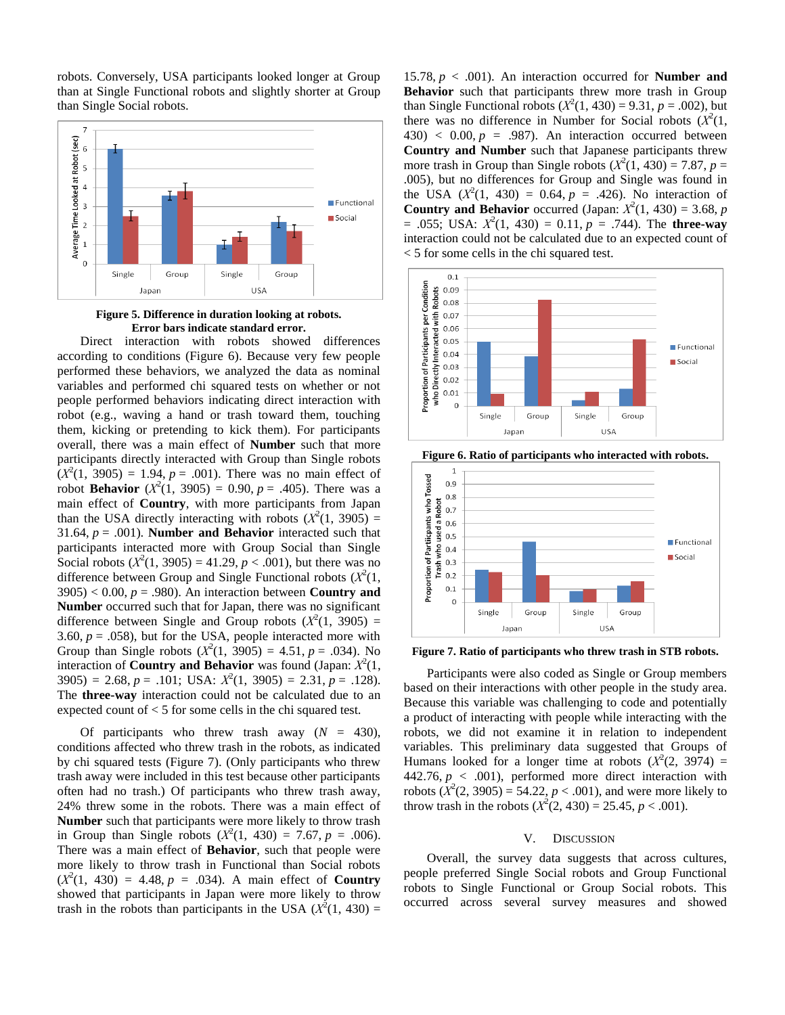robots. Conversely, USA participants looked longer at Group than at Single Functional robots and slightly shorter at Group than Single Social robots.



**Figure 5. Difference in duration looking at robots. Error bars indicate standard error.**

Direct interaction with robots showed differences according to conditions (Figure 6). Because very few people performed these behaviors, we analyzed the data as nominal variables and performed chi squared tests on whether or not people performed behaviors indicating direct interaction with robot (e.g., waving a hand or trash toward them, touching them, kicking or pretending to kick them). For participants overall, there was a main effect of **Number** such that more participants directly interacted with Group than Single robots  $(X^2(1, 3905) = 1.94, p = .001)$ . There was no main effect of robot **Behavior**  $(X^2(1, 3905) = 0.90, p = .405)$ . There was a main effect of **Country**, with more participants from Japan than the USA directly interacting with robots  $(X^2(1, 3905)) =$ 31.64,  $p = .001$ ). **Number and Behavior** interacted such that participants interacted more with Group Social than Single Social robots  $(X^2(1, 3905) = 41.29, p < .001)$ , but there was no difference between Group and Single Functional robots  $(X^2(1,$  $3905$ ) < 0.00,  $p = .980$ ). An interaction between **Country and Number** occurred such that for Japan, there was no significant difference between Single and Group robots  $(X^2(1, 3905))$  = 3.60,  $p = .058$ ), but for the USA, people interacted more with Group than Single robots  $(X^2(1, 3905) = 4.51, p = .034)$ . No interaction of **Country and Behavior** was found (Japan:  $X^2(1)$ ,  $3905$ ) = 2.68,  $p = .101$ ; USA:  $X^2(1, 3905) = 2.31$ ,  $p = .128$ ). The **three-way** interaction could not be calculated due to an expected count of < 5 for some cells in the chi squared test.

Of participants who threw trash away  $(N = 430)$ , conditions affected who threw trash in the robots, as indicated by chi squared tests (Figure 7). (Only participants who threw trash away were included in this test because other participants often had no trash.) Of participants who threw trash away, 24% threw some in the robots. There was a main effect of **Number** such that participants were more likely to throw trash in Group than Single robots  $(X^2(1, 430) = 7.67, p = .006)$ . There was a main effect of **Behavior**, such that people were more likely to throw trash in Functional than Social robots  $(X^2(1, 430) = 4.48, p = .034)$ . A main effect of **Country** showed that participants in Japan were more likely to throw trash in the robots than participants in the USA  $(X^2(1, 430) =$ 

15.78,  $p < .001$ ). An interaction occurred for **Number and Behavior** such that participants threw more trash in Group than Single Functional robots  $(X^2(1, 430) = 9.31, p = .002)$ , but there was no difference in Number for Social robots  $(X^2(1,$  $430$ ) < 0.00,  $p = .987$ ). An interaction occurred between **Country and Number** such that Japanese participants threw more trash in Group than Single robots  $(X^2(1, 430) = 7.87, p =$ .005), but no differences for Group and Single was found in the USA  $(X^2(1, 430) = 0.64, p = .426)$ . No interaction of **Country and Behavior** occurred (Japan:  $X^2(1, 430) = 3.68$ , *p*  $= .055$ ; USA:  $X^2(1, 430) = 0.11$ ,  $p = .744$ ). The **three-way** interaction could not be calculated due to an expected count of < 5 for some cells in the chi squared test.





**Figure 6. Ratio of participants who interacted with robots.** 

**Figure 7. Ratio of participants who threw trash in STB robots.** 

Participants were also coded as Single or Group members based on their interactions with other people in the study area. Because this variable was challenging to code and potentially a product of interacting with people while interacting with the robots, we did not examine it in relation to independent variables. This preliminary data suggested that Groups of Humans looked for a longer time at robots  $(X^2(2, 3974) =$  $442.76, p \lt 0.001$ , performed more direct interaction with robots  $(X^2(2, 3905) = 54.22, p < .001)$ , and were more likely to throw trash in the robots  $(X^2(2, 430) = 25.45, p < .001)$ .

#### V. DISCUSSION

Overall, the survey data suggests that across cultures, people preferred Single Social robots and Group Functional robots to Single Functional or Group Social robots. This occurred across several survey measures and showed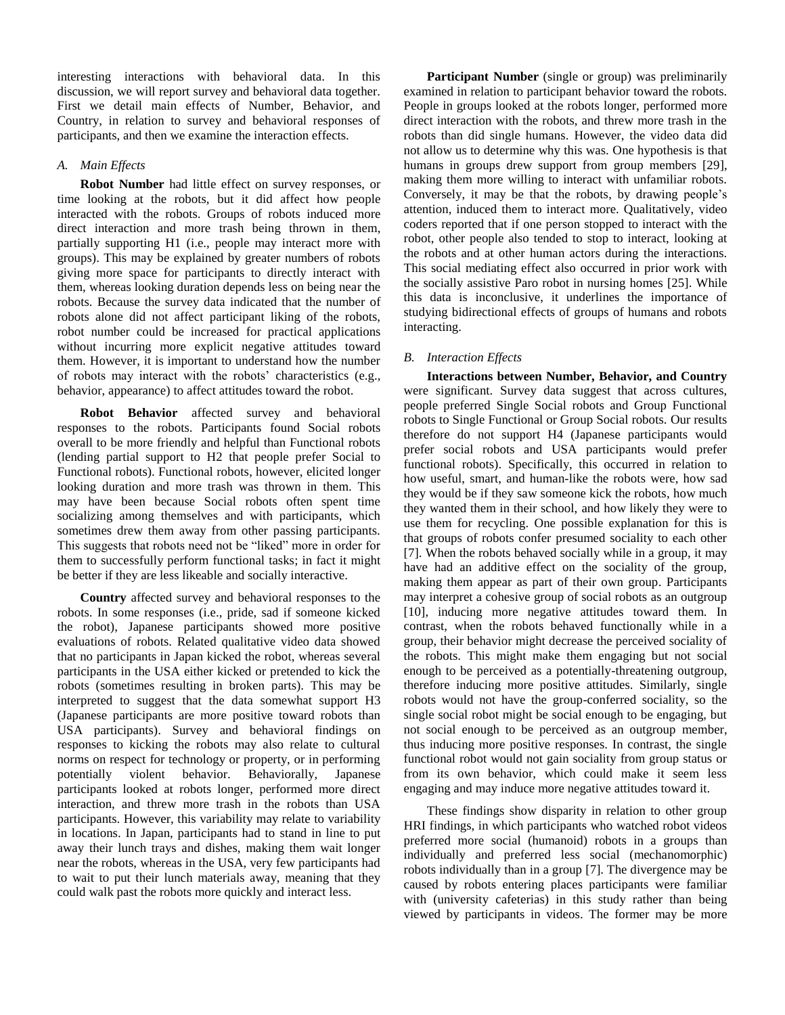interesting interactions with behavioral data. In this discussion, we will report survey and behavioral data together. First we detail main effects of Number, Behavior, and Country, in relation to survey and behavioral responses of participants, and then we examine the interaction effects.

## *A. Main Effects*

**Robot Number** had little effect on survey responses, or time looking at the robots, but it did affect how people interacted with the robots. Groups of robots induced more direct interaction and more trash being thrown in them, partially supporting H1 (i.e., people may interact more with groups). This may be explained by greater numbers of robots giving more space for participants to directly interact with them, whereas looking duration depends less on being near the robots. Because the survey data indicated that the number of robots alone did not affect participant liking of the robots, robot number could be increased for practical applications without incurring more explicit negative attitudes toward them. However, it is important to understand how the number of robots may interact with the robots' characteristics (e.g., behavior, appearance) to affect attitudes toward the robot.

**Robot Behavior** affected survey and behavioral responses to the robots. Participants found Social robots overall to be more friendly and helpful than Functional robots (lending partial support to H2 that people prefer Social to Functional robots). Functional robots, however, elicited longer looking duration and more trash was thrown in them. This may have been because Social robots often spent time socializing among themselves and with participants, which sometimes drew them away from other passing participants. This suggests that robots need not be "liked" more in order for them to successfully perform functional tasks; in fact it might be better if they are less likeable and socially interactive.

**Country** affected survey and behavioral responses to the robots. In some responses (i.e., pride, sad if someone kicked the robot), Japanese participants showed more positive evaluations of robots. Related qualitative video data showed that no participants in Japan kicked the robot, whereas several participants in the USA either kicked or pretended to kick the robots (sometimes resulting in broken parts). This may be interpreted to suggest that the data somewhat support H3 (Japanese participants are more positive toward robots than USA participants). Survey and behavioral findings on responses to kicking the robots may also relate to cultural norms on respect for technology or property, or in performing potentially violent behavior. Behaviorally, Japanese participants looked at robots longer, performed more direct interaction, and threw more trash in the robots than USA participants. However, this variability may relate to variability in locations. In Japan, participants had to stand in line to put away their lunch trays and dishes, making them wait longer near the robots, whereas in the USA, very few participants had to wait to put their lunch materials away, meaning that they could walk past the robots more quickly and interact less.

**Participant Number** (single or group) was preliminarily examined in relation to participant behavior toward the robots. People in groups looked at the robots longer, performed more direct interaction with the robots, and threw more trash in the robots than did single humans. However, the video data did not allow us to determine why this was. One hypothesis is that humans in groups drew support from group members [29], making them more willing to interact with unfamiliar robots. Conversely, it may be that the robots, by drawing people's attention, induced them to interact more. Qualitatively, video coders reported that if one person stopped to interact with the robot, other people also tended to stop to interact, looking at the robots and at other human actors during the interactions. This social mediating effect also occurred in prior work with the socially assistive Paro robot in nursing homes [25]. While this data is inconclusive, it underlines the importance of studying bidirectional effects of groups of humans and robots interacting.

# *B. Interaction Effects*

**Interactions between Number, Behavior, and Country** were significant. Survey data suggest that across cultures, people preferred Single Social robots and Group Functional robots to Single Functional or Group Social robots. Our results therefore do not support H4 (Japanese participants would prefer social robots and USA participants would prefer functional robots). Specifically, this occurred in relation to how useful, smart, and human-like the robots were, how sad they would be if they saw someone kick the robots, how much they wanted them in their school, and how likely they were to use them for recycling. One possible explanation for this is that groups of robots confer presumed sociality to each other [7]. When the robots behaved socially while in a group, it may have had an additive effect on the sociality of the group, making them appear as part of their own group. Participants may interpret a cohesive group of social robots as an outgroup [10], inducing more negative attitudes toward them. In contrast, when the robots behaved functionally while in a group, their behavior might decrease the perceived sociality of the robots. This might make them engaging but not social enough to be perceived as a potentially-threatening outgroup, therefore inducing more positive attitudes. Similarly, single robots would not have the group-conferred sociality, so the single social robot might be social enough to be engaging, but not social enough to be perceived as an outgroup member, thus inducing more positive responses. In contrast, the single functional robot would not gain sociality from group status or from its own behavior, which could make it seem less engaging and may induce more negative attitudes toward it.

These findings show disparity in relation to other group HRI findings, in which participants who watched robot videos preferred more social (humanoid) robots in a groups than individually and preferred less social (mechanomorphic) robots individually than in a group [7]. The divergence may be caused by robots entering places participants were familiar with (university cafeterias) in this study rather than being viewed by participants in videos. The former may be more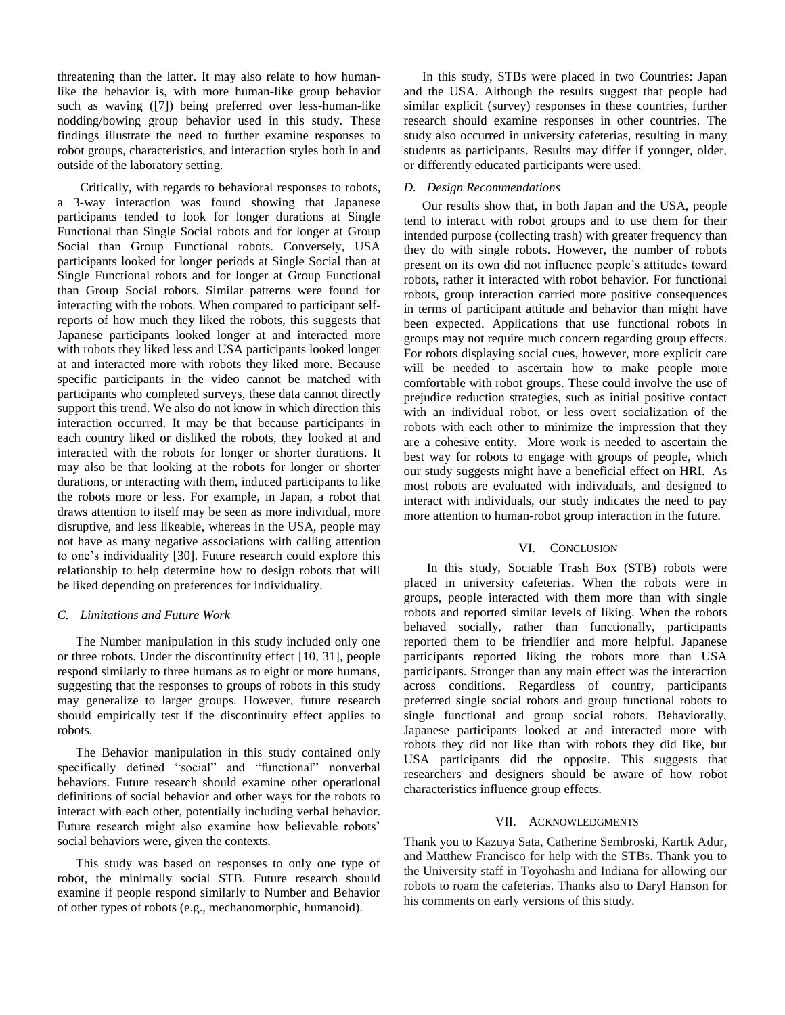threatening than the latter. It may also relate to how humanlike the behavior is, with more human-like group behavior such as waving ([7]) being preferred over less-human-like nodding/bowing group behavior used in this study. These findings illustrate the need to further examine responses to robot groups, characteristics, and interaction styles both in and outside of the laboratory setting.

Critically, with regards to behavioral responses to robots, a 3-way interaction was found showing that Japanese participants tended to look for longer durations at Single Functional than Single Social robots and for longer at Group Social than Group Functional robots. Conversely, USA participants looked for longer periods at Single Social than at Single Functional robots and for longer at Group Functional than Group Social robots. Similar patterns were found for interacting with the robots. When compared to participant selfreports of how much they liked the robots, this suggests that Japanese participants looked longer at and interacted more with robots they liked less and USA participants looked longer at and interacted more with robots they liked more. Because specific participants in the video cannot be matched with participants who completed surveys, these data cannot directly support this trend. We also do not know in which direction this interaction occurred. It may be that because participants in each country liked or disliked the robots, they looked at and interacted with the robots for longer or shorter durations. It may also be that looking at the robots for longer or shorter durations, or interacting with them, induced participants to like the robots more or less. For example, in Japan, a robot that draws attention to itself may be seen as more individual, more disruptive, and less likeable, whereas in the USA, people may not have as many negative associations with calling attention to one's individuality [30]. Future research could explore this relationship to help determine how to design robots that will be liked depending on preferences for individuality.

#### *C. Limitations and Future Work*

The Number manipulation in this study included only one or three robots. Under the discontinuity effect [10, 31], people respond similarly to three humans as to eight or more humans, suggesting that the responses to groups of robots in this study may generalize to larger groups. However, future research should empirically test if the discontinuity effect applies to robots.

The Behavior manipulation in this study contained only specifically defined "social" and "functional" nonverbal behaviors. Future research should examine other operational definitions of social behavior and other ways for the robots to interact with each other, potentially including verbal behavior. Future research might also examine how believable robots' social behaviors were, given the contexts.

This study was based on responses to only one type of robot, the minimally social STB. Future research should examine if people respond similarly to Number and Behavior of other types of robots (e.g., mechanomorphic, humanoid).

In this study, STBs were placed in two Countries: Japan and the USA. Although the results suggest that people had similar explicit (survey) responses in these countries, further research should examine responses in other countries. The study also occurred in university cafeterias, resulting in many students as participants. Results may differ if younger, older, or differently educated participants were used.

#### *D. Design Recommendations*

Our results show that, in both Japan and the USA, people tend to interact with robot groups and to use them for their intended purpose (collecting trash) with greater frequency than they do with single robots. However, the number of robots present on its own did not influence people's attitudes toward robots, rather it interacted with robot behavior. For functional robots, group interaction carried more positive consequences in terms of participant attitude and behavior than might have been expected. Applications that use functional robots in groups may not require much concern regarding group effects. For robots displaying social cues, however, more explicit care will be needed to ascertain how to make people more comfortable with robot groups. These could involve the use of prejudice reduction strategies, such as initial positive contact with an individual robot, or less overt socialization of the robots with each other to minimize the impression that they are a cohesive entity. More work is needed to ascertain the best way for robots to engage with groups of people, which our study suggests might have a beneficial effect on HRI. As most robots are evaluated with individuals, and designed to interact with individuals, our study indicates the need to pay more attention to human-robot group interaction in the future.

#### VI. CONCLUSION

In this study, Sociable Trash Box (STB) robots were placed in university cafeterias. When the robots were in groups, people interacted with them more than with single robots and reported similar levels of liking. When the robots behaved socially, rather than functionally, participants reported them to be friendlier and more helpful. Japanese participants reported liking the robots more than USA participants. Stronger than any main effect was the interaction across conditions. Regardless of country, participants preferred single social robots and group functional robots to single functional and group social robots. Behaviorally, Japanese participants looked at and interacted more with robots they did not like than with robots they did like, but USA participants did the opposite. This suggests that researchers and designers should be aware of how robot characteristics influence group effects.

#### VII. ACKNOWLEDGMENTS

Thank you to Kazuya Sata, Catherine Sembroski, Kartik Adur, and Matthew Francisco for help with the STBs. Thank you to the University staff in Toyohashi and Indiana for allowing our robots to roam the cafeterias. Thanks also to Daryl Hanson for his comments on early versions of this study.